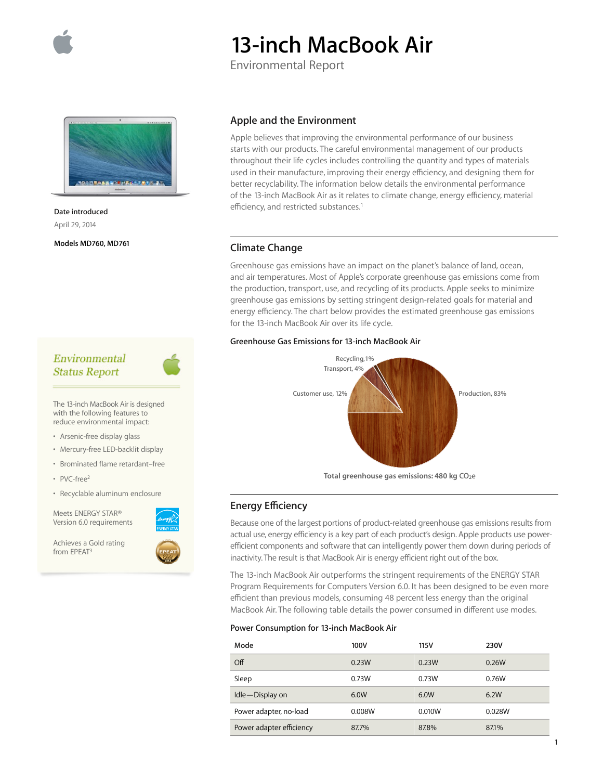

# **13-inch MacBook Air**

Environmental Report



**Date introduced**  April 29, 2014

**Models MD760, MD761**

# Environmental **Status Report**

The 13-inch MacBook Air is designed with the following features to reduce environmental impact:

- Arsenic-free display glass
- Mercury-free LED-backlit display
- Brominated flame retardant–free
- PVC-free<sup>2</sup>
- Recyclable aluminum enclosure

Meets ENERGY STAR® Version 6.0 requirements

Achieves a Gold rating from EPEAT3



#### **Apple and the Environment**

Apple believes that improving the environmental performance of our business starts with our products. The careful environmental management of our products throughout their life cycles includes controlling the quantity and types of materials used in their manufacture, improving their energy efficiency, and designing them for better recyclability. The information below details the environmental performance of the 13-inch MacBook Air as it relates to climate change, energy efficiency, material efficiency, and restricted substances.<sup>1</sup>

## **Climate Change**

Greenhouse gas emissions have an impact on the planet's balance of land, ocean, and air temperatures. Most of Apple's corporate greenhouse gas emissions come from the production, transport, use, and recycling of its products. Apple seeks to minimize greenhouse gas emissions by setting stringent design-related goals for material and energy efficiency. The chart below provides the estimated greenhouse gas emissions for the 13-inch MacBook Air over its life cycle.

### **Greenhouse Gas Emissions for 13-inch MacBook Air**



Total greenhouse gas emissions: 480 kg CO<sub>2</sub>e

## **Energy E∑ciency**

Because one of the largest portions of product-related greenhouse gas emissions results from actual use, energy efficiency is a key part of each product's design. Apple products use powerefficient components and software that can intelligently power them down during periods of inactivity. The result is that MacBook Air is energy efficient right out of the box.

The 13-inch MacBook Air outperforms the stringent requirements of the ENERGY STAR Program Requirements for Computers Version 6.0. It has been designed to be even more efficient than previous models, consuming 48 percent less energy than the original MacBook Air. The following table details the power consumed in different use modes.

#### **Power Consumption for 13-inch MacBook Air**

| Mode                     | 100V   | 115V   | 230V   |
|--------------------------|--------|--------|--------|
| Off                      | 0.23W  | 0.23W  | 0.26W  |
| Sleep                    | 0.73W  | 0.73W  | 0.76W  |
| Idle-Display on          | 6.0W   | 6.0W   | 6.2W   |
| Power adapter, no-load   | 0.008W | 0.010W | 0.028W |
| Power adapter efficiency | 87.7%  | 87.8%  | 87.1%  |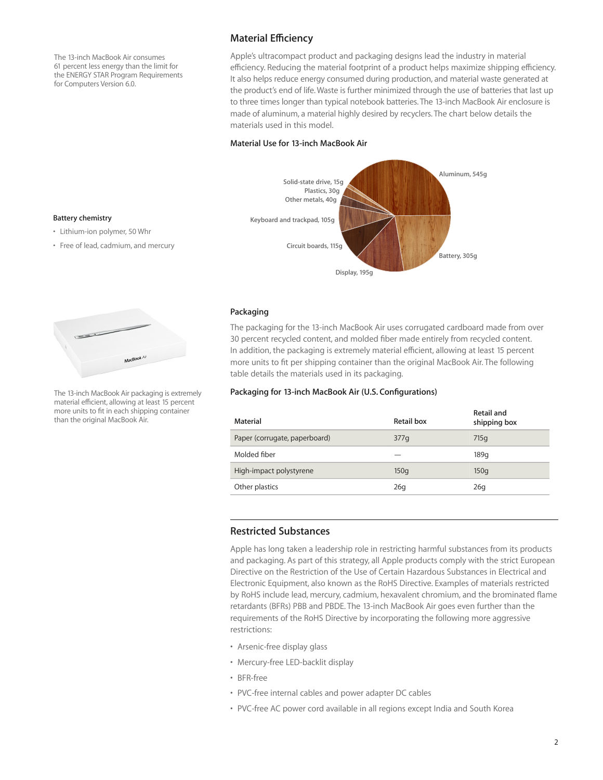The 13-inch MacBook Air consumes 61 percent less energy than the limit for the ENERGY STAR Program Requirements for Computers Version 6.0.

## **Material E∑ciency**

Apple's ultracompact product and packaging designs lead the industry in material efficiency. Reducing the material footprint of a product helps maximize shipping efficiency. It also helps reduce energy consumed during production, and material waste generated at the product's end of life. Waste is further minimized through the use of batteries that last up to three times longer than typical notebook batteries. The 13-inch MacBook Air enclosure is made of aluminum, a material highly desired by recyclers. The chart below details the materials used in this model.

#### **Material Use for 13-inch MacBook Air**



#### **Packaging**

The packaging for the 13-inch MacBook Air uses corrugated cardboard made from over 30 percent recycled content, and molded fiber made entirely from recycled content. In addition, the packaging is extremely material efficient, allowing at least 15 percent more units to fit per shipping container than the original MacBook Air. The following table details the materials used in its packaging.

#### **Packaging for 13-inch MacBook Air (U.S. Configurations)**

| Material                      | Retail box | Retail and<br>shipping box |
|-------------------------------|------------|----------------------------|
| Paper (corrugate, paperboard) | 377q       | 715q                       |
| Molded fiber                  |            | 189q                       |
| High-impact polystyrene       | 150q       | 150q                       |
| Other plastics                | 26q        | 26q                        |

## **Restricted Substances**

Apple has long taken a leadership role in restricting harmful substances from its products and packaging. As part of this strategy, all Apple products comply with the strict European Directive on the Restriction of the Use of Certain Hazardous Substances in Electrical and Electronic Equipment, also known as the RoHS Directive. Examples of materials restricted by RoHS include lead, mercury, cadmium, hexavalent chromium, and the brominated flame retardants (BFRs) PBB and PBDE. The 13-inch MacBook Air goes even further than the requirements of the RoHS Directive by incorporating the following more aggressive restrictions:

- Arsenic-free display glass
- Mercury-free LED-backlit display
- BFR-free
- PVC-free internal cables and power adapter DC cables
- PVC-free AC power cord available in all regions except India and South Korea

#### **Battery chemistry**

- Lithium-ion polymer, 50 Whr
- Free of lead, cadmium, and mercury



The 13-inch MacBook Air packaging is extremely material efficient, allowing at least 15 percent more units to fit in each shipping container than the original MacBook Air.